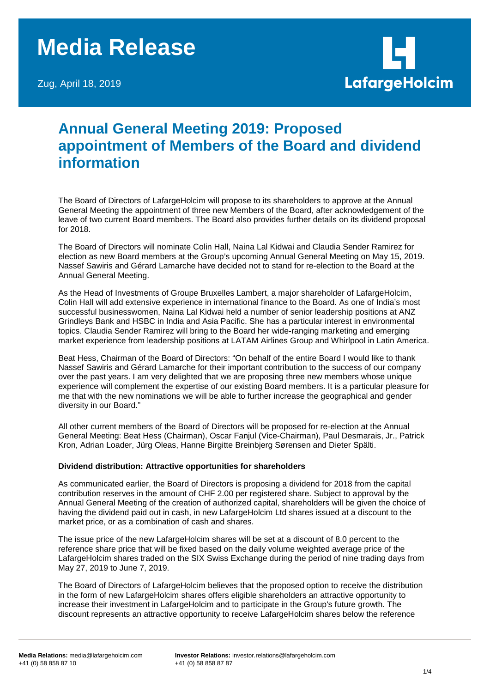# **Media Release**

Zug, April 18, 2019



# **Annual General Meeting 2019: Proposed appointment of Members of the Board and dividend information**

The Board of Directors of LafargeHolcim will propose to its shareholders to approve at the Annual General Meeting the appointment of three new Members of the Board, after acknowledgement of the leave of two current Board members. The Board also provides further details on its dividend proposal for 2018.

The Board of Directors will nominate Colin Hall, Naina Lal Kidwai and Claudia Sender Ramirez for election as new Board members at the Group's upcoming Annual General Meeting on May 15, 2019. Nassef Sawiris and Gérard Lamarche have decided not to stand for re-election to the Board at the Annual General Meeting.

As the Head of Investments of Groupe Bruxelles Lambert, a major shareholder of LafargeHolcim, Colin Hall will add extensive experience in international finance to the Board. As one of India's most successful businesswomen, Naina Lal Kidwai held a number of senior leadership positions at ANZ Grindleys Bank and HSBC in India and Asia Pacific. She has a particular interest in environmental topics. Claudia Sender Ramirez will bring to the Board her wide-ranging marketing and emerging market experience from leadership positions at LATAM Airlines Group and Whirlpool in Latin America.

Beat Hess, Chairman of the Board of Directors: "On behalf of the entire Board I would like to thank Nassef Sawiris and Gérard Lamarche for their important contribution to the success of our company over the past years. I am very delighted that we are proposing three new members whose unique experience will complement the expertise of our existing Board members. It is a particular pleasure for me that with the new nominations we will be able to further increase the geographical and gender diversity in our Board."

All other current members of the Board of Directors will be proposed for re-election at the Annual General Meeting: Beat Hess (Chairman), Oscar Fanjul (Vice-Chairman), Paul Desmarais, Jr., Patrick Kron, Adrian Loader, Jürg Oleas, Hanne Birgitte Breinbjerg Sørensen and Dieter Spälti.

# **Dividend distribution: Attractive opportunities for shareholders**

As communicated earlier, the Board of Directors is proposing a dividend for 2018 from the capital contribution reserves in the amount of CHF 2.00 per registered share. Subject to approval by the Annual General Meeting of the creation of authorized capital, shareholders will be given the choice of having the dividend paid out in cash, in new LafargeHolcim Ltd shares issued at a discount to the market price, or as a combination of cash and shares.

The issue price of the new LafargeHolcim shares will be set at a discount of 8.0 percent to the reference share price that will be fixed based on the daily volume weighted average price of the LafargeHolcim shares traded on the SIX Swiss Exchange during the period of nine trading days from May 27, 2019 to June 7, 2019.

The Board of Directors of LafargeHolcim believes that the proposed option to receive the distribution in the form of new LafargeHolcim shares offers eligible shareholders an attractive opportunity to increase their investment in LafargeHolcim and to participate in the Group's future growth. The discount represents an attractive opportunity to receive LafargeHolcim shares below the reference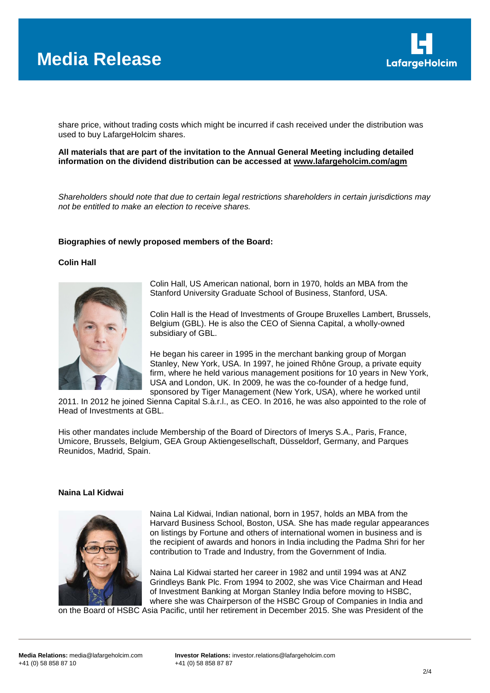

share price, without trading costs which might be incurred if cash received under the distribution was used to buy LafargeHolcim shares.

**All materials that are part of the invitation to the Annual General Meeting including detailed information on the dividend distribution can be accessed at [www.lafargeholcim.com/agm](http://www.lafargeholcim.com/agm)**

*Shareholders should note that due to certain legal restrictions shareholders in certain jurisdictions may not be entitled to make an election to receive shares.*

#### **Biographies of newly proposed members of the Board:**

#### **Colin Hall**



Colin Hall, US American national, born in 1970, holds an MBA from the Stanford University Graduate School of Business, Stanford, USA.

Colin Hall is the Head of Investments of Groupe Bruxelles Lambert, Brussels, Belgium (GBL). He is also the CEO of Sienna Capital, a wholly-owned subsidiary of GBL.

He began his career in 1995 in the merchant banking group of Morgan Stanley, New York, USA. In 1997, he joined Rhône Group, a private equity firm, where he held various management positions for 10 years in New York, USA and London, UK. In 2009, he was the co-founder of a hedge fund, sponsored by Tiger Management (New York, USA), where he worked until

2011. In 2012 he joined Sienna Capital S.à.r.l., as CEO. In 2016, he was also appointed to the role of Head of Investments at GBL.

His other mandates include Membership of the Board of Directors of Imerys S.A., Paris, France, Umicore, Brussels, Belgium, GEA Group Aktiengesellschaft, Düsseldorf, Germany, and Parques Reunidos, Madrid, Spain.

#### **Naina Lal Kidwai**



Naina Lal Kidwai, Indian national, born in 1957, holds an MBA from the Harvard Business School, Boston, USA. She has made regular appearances on listings by Fortune and others of international women in business and is the recipient of awards and honors in India including the Padma Shri for her contribution to Trade and Industry, from the Government of India.

Naina Lal Kidwai started her career in 1982 and until 1994 was at ANZ Grindleys Bank Plc. From 1994 to 2002, she was Vice Chairman and Head of Investment Banking at Morgan Stanley India before moving to HSBC, where she was Chairperson of the HSBC Group of Companies in India and

on the Board of HSBC Asia Pacific, until her retirement in December 2015. She was President of the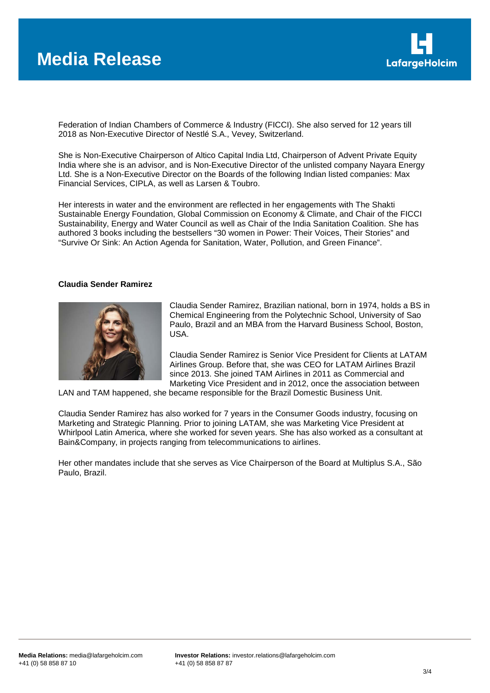

Federation of Indian Chambers of Commerce & Industry (FICCI). She also served for 12 years till 2018 as Non-Executive Director of Nestlé S.A., Vevey, Switzerland.

She is Non-Executive Chairperson of Altico Capital India Ltd, Chairperson of Advent Private Equity India where she is an advisor, and is Non-Executive Director of the unlisted company Nayara Energy Ltd. She is a Non-Executive Director on the Boards of the following Indian listed companies: Max Financial Services, CIPLA, as well as Larsen & Toubro.

Her interests in water and the environment are reflected in her engagements with The Shakti Sustainable Energy Foundation, Global Commission on Economy & Climate, and Chair of the FICCI Sustainability, Energy and Water Council as well as Chair of the India Sanitation Coalition. She has authored 3 books including the bestsellers "30 women in Power: Their Voices, Their Stories" and "Survive Or Sink: An Action Agenda for Sanitation, Water, Pollution, and Green Finance".

# **Claudia Sender Ramirez**



Claudia Sender Ramirez, Brazilian national, born in 1974, holds a BS in Chemical Engineering from the Polytechnic School, University of Sao Paulo, Brazil and an MBA from the Harvard Business School, Boston, USA.

Claudia Sender Ramirez is Senior Vice President for Clients at LATAM Airlines Group. Before that, she was CEO for LATAM Airlines Brazil since 2013. She joined TAM Airlines in 2011 as Commercial and Marketing Vice President and in 2012, once the association between

LAN and TAM happened, she became responsible for the Brazil Domestic Business Unit.

Claudia Sender Ramirez has also worked for 7 years in the Consumer Goods industry, focusing on Marketing and Strategic Planning. Prior to joining LATAM, she was Marketing Vice President at Whirlpool Latin America, where she worked for seven years. She has also worked as a consultant at Bain&Company, in projects ranging from telecommunications to airlines.

Her other mandates include that she serves as Vice Chairperson of the Board at Multiplus S.A., São Paulo, Brazil.